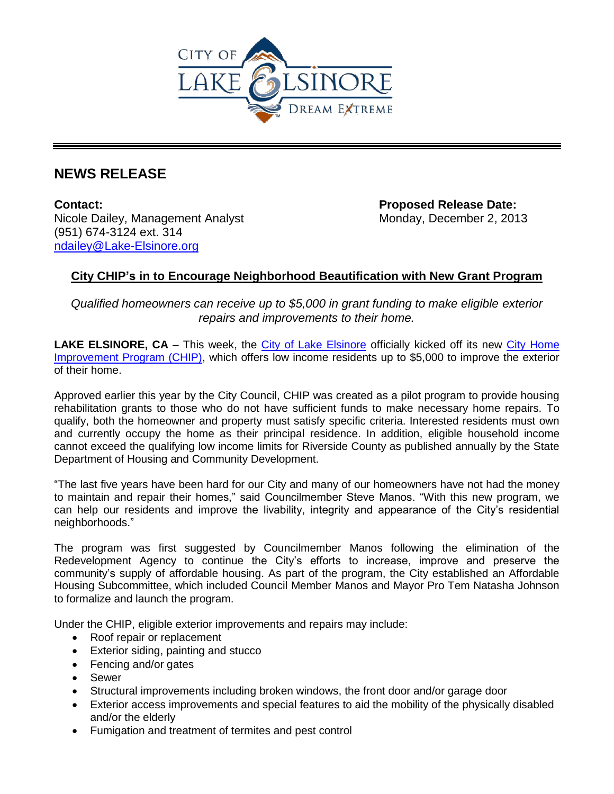

## **NEWS RELEASE**

**Contact: Proposed Release Date:**  Nicole Dailey, Management Analyst Monday, December 2, 2013 (951) 674-3124 ext. 314 [ndailey@Lake-Elsinore.org](mailto:ndailey@Lake-Elsinore.org)

## **City CHIP's in to Encourage Neighborhood Beautification with New Grant Program**

*Qualified homeowners can receive up to \$5,000 in grant funding to make eligible exterior repairs and improvements to their home.*

**LAKE ELSINORE, CA** – This week, the [City of Lake Elsinore](http://www.lake-elsinore.org/) officially kicked off its new [City Home](http://www.lake-elsinore.org/index.aspx?page=988)  [Improvement Program \(CHIP\),](http://www.lake-elsinore.org/index.aspx?page=988) which offers low income residents up to \$5,000 to improve the exterior of their home.

Approved earlier this year by the City Council, CHIP was created as a pilot program to provide housing rehabilitation grants to those who do not have sufficient funds to make necessary home repairs. To qualify, both the homeowner and property must satisfy specific criteria. Interested residents must own and currently occupy the home as their principal residence. In addition, eligible household income cannot exceed the qualifying low income limits for Riverside County as published annually by the State Department of Housing and Community Development.

"The last five years have been hard for our City and many of our homeowners have not had the money to maintain and repair their homes," said Councilmember Steve Manos. "With this new program, we can help our residents and improve the livability, integrity and appearance of the City's residential neighborhoods."

The program was first suggested by Councilmember Manos following the elimination of the Redevelopment Agency to continue the City's efforts to increase, improve and preserve the community's supply of affordable housing. As part of the program, the City established an Affordable Housing Subcommittee, which included Council Member Manos and Mayor Pro Tem Natasha Johnson to formalize and launch the program.

Under the CHIP, eligible exterior improvements and repairs may include:

- Roof repair or replacement
- Exterior siding, painting and stucco
- Fencing and/or gates
- Sewer
- Structural improvements including broken windows, the front door and/or garage door
- Exterior access improvements and special features to aid the mobility of the physically disabled and/or the elderly
- Fumigation and treatment of termites and pest control